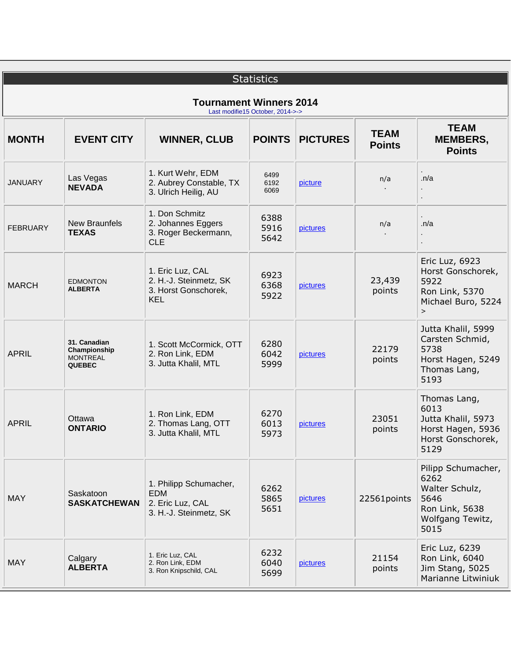| <b>Statistics</b><br><b>Tournament Winners 2014</b><br>Last modifie15 October, 2014->-> |                                                                  |                                                                                    |                      |          |                  |                                                                                                     |  |
|-----------------------------------------------------------------------------------------|------------------------------------------------------------------|------------------------------------------------------------------------------------|----------------------|----------|------------------|-----------------------------------------------------------------------------------------------------|--|
|                                                                                         |                                                                  |                                                                                    |                      |          |                  |                                                                                                     |  |
| <b>JANUARY</b>                                                                          | Las Vegas<br><b>NEVADA</b>                                       | 1. Kurt Wehr, EDM<br>2. Aubrey Constable, TX<br>3. Ulrich Heilig, AU               | 6499<br>6192<br>6069 | picture  | n/a              | $\cdot$ n/a                                                                                         |  |
| <b>FEBRUARY</b>                                                                         | <b>New Braunfels</b><br><b>TEXAS</b>                             | 1. Don Schmitz<br>2. Johannes Eggers<br>3. Roger Beckermann,<br><b>CLE</b>         | 6388<br>5916<br>5642 | pictures | n/a              | $\cdot$ n/a                                                                                         |  |
| <b>MARCH</b>                                                                            | <b>EDMONTON</b><br><b>ALBERTA</b>                                | 1. Eric Luz, CAL<br>2. H.-J. Steinmetz, SK<br>3. Horst Gonschorek,<br><b>KEL</b>   | 6923<br>6368<br>5922 | pictures | 23,439<br>points | Eric Luz, 6923<br>Horst Gonschorek,<br>5922<br>Ron Link, 5370<br>Michael Buro, 5224<br>$\mathbf{L}$ |  |
| <b>APRIL</b>                                                                            | 31. Canadian<br>Championship<br><b>MONTREAL</b><br><b>QUEBEC</b> | 1. Scott McCormick, OTT<br>2. Ron Link, EDM<br>3. Jutta Khalil, MTL                | 6280<br>6042<br>5999 | pictures | 22179<br>points  | Jutta Khalil, 5999<br>Carsten Schmid,<br>5738<br>Horst Hagen, 5249<br>Thomas Lang,<br>5193          |  |
| <b>APRIL</b>                                                                            | Ottawa<br><b>ONTARIO</b>                                         | 1. Ron Link, EDM<br>2. Thomas Lang, OTT<br>3. Jutta Khalil, MTL                    | 6270<br>6013<br>5973 | pictures | 23051<br>points  | Thomas Lang,<br>6013<br>Jutta Khalil, 5973<br>Horst Hagen, 5936<br>Horst Gonschorek,<br>5129        |  |
| <b>MAY</b>                                                                              | Saskatoon<br><b>SASKATCHEWAN</b>                                 | 1. Philipp Schumacher,<br><b>EDM</b><br>2. Eric Luz, CAL<br>3. H.-J. Steinmetz, SK | 6262<br>5865<br>5651 | pictures | 22561points      | Pilipp Schumacher,<br>6262<br>Walter Schulz,<br>5646<br>Ron Link, 5638<br>Wolfgang Tewitz,<br>5015  |  |
| <b>MAY</b>                                                                              | Calgary<br><b>ALBERTA</b>                                        | 1. Eric Luz, CAL<br>2. Ron Link, EDM<br>3. Ron Knipschild, CAL                     | 6232<br>6040<br>5699 | pictures | 21154<br>points  | Eric Luz, 6239<br>Ron Link, 6040<br>Jim Stang, 5025<br>Marianne Litwiniuk                           |  |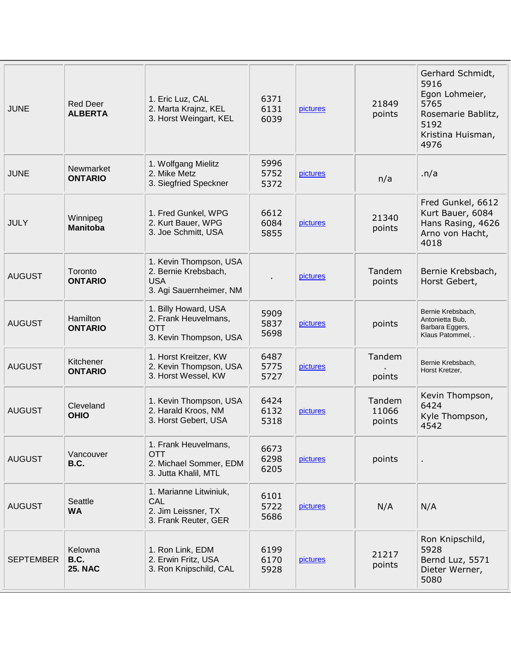| <b>JUNE</b>      | <b>Red Deer</b><br><b>ALBERTA</b> | 1. Eric Luz, CAL<br>2. Marta Krajnz, KEL<br>3. Horst Weingart, KEL                      | 6371<br>6131<br>6039 | pictures | 21849<br>points           | Gerhard Schmidt,<br>5916<br>Egon Lohmeier,<br>5765<br>Rosemarie Bablitz,<br>5192<br>Kristina Huisman,<br>4976 |
|------------------|-----------------------------------|-----------------------------------------------------------------------------------------|----------------------|----------|---------------------------|---------------------------------------------------------------------------------------------------------------|
| <b>JUNE</b>      | Newmarket<br><b>ONTARIO</b>       | 1. Wolfgang Mielitz<br>2. Mike Metz<br>3. Siegfried Speckner                            | 5996<br>5752<br>5372 | pictures | n/a                       | $\cdot$ n/a                                                                                                   |
| <b>JULY</b>      | Winnipeg<br><b>Manitoba</b>       | 1. Fred Gunkel, WPG<br>2. Kurt Bauer, WPG<br>3. Joe Schmitt, USA                        | 6612<br>6084<br>5855 | pictures | 21340<br>points           | Fred Gunkel, 6612<br>Kurt Bauer, 6084<br>Hans Rasing, 4626<br>Arno von Hacht,<br>4018                         |
| <b>AUGUST</b>    | Toronto<br><b>ONTARIO</b>         | 1. Kevin Thompson, USA<br>2. Bernie Krebsbach,<br><b>USA</b><br>3. Agi Sauernheimer, NM |                      | pictures | Tandem<br>points          | Bernie Krebsbach,<br>Horst Gebert,                                                                            |
| <b>AUGUST</b>    | Hamilton<br><b>ONTARIO</b>        | 1. Billy Howard, USA<br>2. Frank Heuvelmans,<br><b>OTT</b><br>3. Kevin Thompson, USA    | 5909<br>5837<br>5698 | pictures | points                    | Bernie Krebsbach,<br>Antonietta Bub,<br>Barbara Eggers,<br>Klaus Patommel, .                                  |
| <b>AUGUST</b>    | Kitchener<br><b>ONTARIO</b>       | 1. Horst Kreitzer, KW<br>2. Kevin Thompson, USA<br>3. Horst Wessel, KW                  | 6487<br>5775<br>5727 | pictures | Tandem<br>points          | Bernie Krebsbach,<br>Horst Kretzer,                                                                           |
| <b>AUGUST</b>    | Cleveland<br><b>OHIO</b>          | 1. Kevin Thompson, USA<br>2. Harald Kroos, NM<br>3. Horst Gebert, USA                   | 6424<br>6132<br>5318 | pictures | Tandem<br>11066<br>points | Kevin Thompson,<br>6424<br>Kyle Thompson,<br>4542                                                             |
| <b>AUGUST</b>    | Vancouver<br><b>B.C.</b>          | 1. Frank Heuvelmans,<br><b>OTT</b><br>2. Michael Sommer, EDM<br>3. Jutta Khalil, MTL    | 6673<br>6298<br>6205 | pictures | points                    | $\blacksquare$                                                                                                |
| <b>AUGUST</b>    | Seattle<br><b>WA</b>              | 1. Marianne Litwiniuk,<br>CAL<br>2. Jim Leissner, TX<br>3. Frank Reuter, GER            | 6101<br>5722<br>5686 | pictures | N/A                       | N/A                                                                                                           |
| <b>SEPTEMBER</b> | Kelowna<br>B.C.<br><b>25. NAC</b> | 1. Ron Link, EDM<br>2. Erwin Fritz, USA<br>3. Ron Knipschild, CAL                       | 6199<br>6170<br>5928 | pictures | 21217<br>points           | Ron Knipschild,<br>5928<br>Bernd Luz, 5571<br>Dieter Werner,<br>5080                                          |